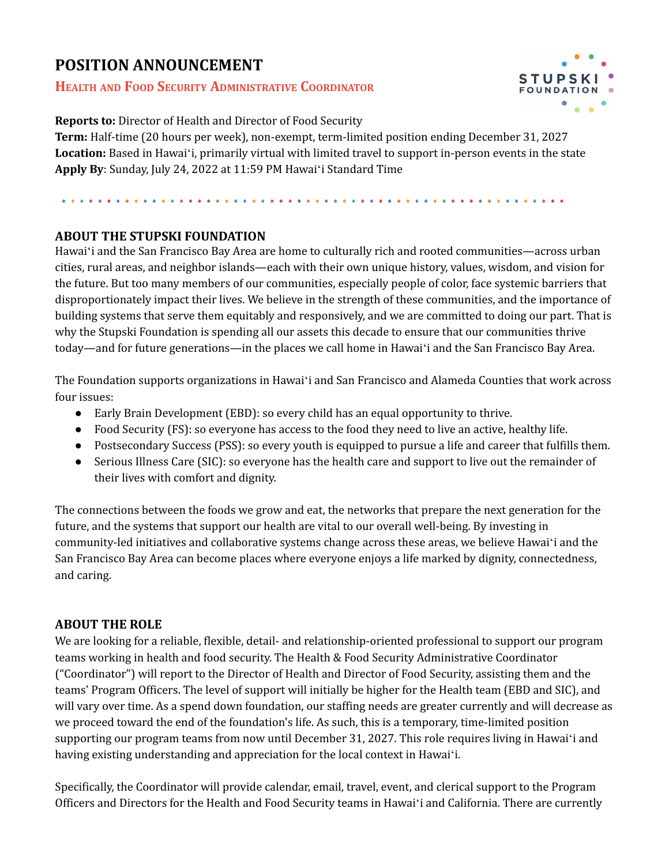# **POSITION ANNOUNCEMENT**

## **HEALTH AND FOOD SECURITY ADMINISTRATIVE COORDINATOR**



**Reports to:** Director of Health and Director of Food Security

**Term:** Half-time (20 hours per week), non-exempt, term-limited position ending December 31, 2027 **Location:** Based in Hawaiʻi, primarily virtual with limited travel to support in-person events in the state **Apply By**: Sunday, July 24, 2022 at 11:59 PM Hawaiʻi Standard Time

### **ABOUT THE STUPSKI FOUNDATION**

Hawaiʻi and the San Francisco Bay Area are home to culturally rich and rooted communities—across urban cities, rural areas, and neighbor islands—each with their own unique history, values, wisdom, and vision for the future. But too many members of our communities, especially people of color, face systemic barriers that disproportionately impact their lives. We believe in the strength of these communities, and the importance of building systems that serve them equitably and responsively, and we are committed to doing our part. That is why the Stupski Foundation is spending all our assets this decade to ensure that our communities thrive today—and for future generations—in the places we call home in Hawaiʻi and the San Francisco Bay Area.

The Foundation supports organizations in Hawaiʻi and San Francisco and Alameda Counties that work across four issues:

- Early Brain Development (EBD): so every child has an equal opportunity to thrive.
- Food Security (FS): so everyone has access to the food they need to live an active, healthy life.
- Postsecondary Success (PSS): so every youth is equipped to pursue a life and career that fulfills them.
- Serious Illness Care (SIC): so everyone has the health care and support to live out the remainder of their lives with comfort and dignity.

The connections between the foods we grow and eat, the networks that prepare the next generation for the future, and the systems that support our health are vital to our overall well-being. By investing in community-led initiatives and collaborative systems change across these areas, we believe Hawaiʻi and the San Francisco Bay Area can become places where everyone enjoys a life marked by dignity, connectedness, and caring.

### **ABOUT THE ROLE**

We are looking for a reliable, flexible, detail- and relationship-oriented professional to support our program teams working in health and food security. The Health & Food Security Administrative Coordinator ("Coordinator") will report to the Director of Health and Director of Food Security, assisting them and the teams' Program Officers. The level of support will initially be higher for the Health team (EBD and SIC), and will vary over time. As a spend down foundation, our staffing needs are greater currently and will decrease as we proceed toward the end of the foundation's life. As such, this is a temporary, time-limited position supporting our program teams from now until December 31, 2027. This role requires living in Hawaiʻi and having existing understanding and appreciation for the local context in Hawaiʻi.

Specifically, the Coordinator will provide calendar, email, travel, event, and clerical support to the Program Officers and Directors for the Health and Food Security teams in Hawaiʻi and California. There are currently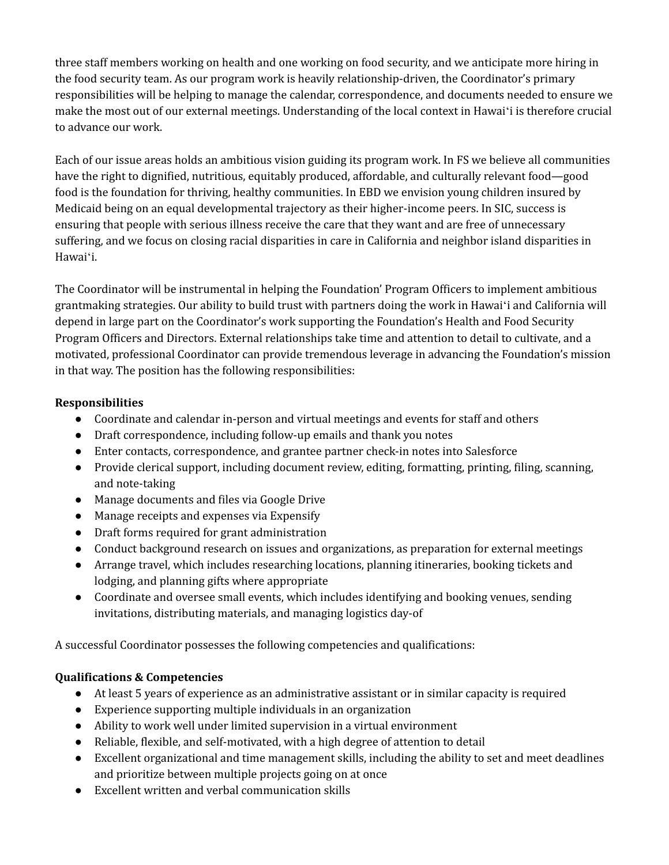three staff members working on health and one working on food security, and we anticipate more hiring in the food security team. As our program work is heavily relationship-driven, the Coordinator's primary responsibilities will be helping to manage the calendar, correspondence, and documents needed to ensure we make the most out of our external meetings. Understanding of the local context in Hawaiʻi is therefore crucial to advance our work.

Each of our issue areas holds an ambitious vision guiding its program work. In FS we believe all communities have the right to dignified, nutritious, equitably produced, affordable, and culturally relevant food—good food is the foundation for thriving, healthy communities. In EBD we envision young children insured by Medicaid being on an equal developmental trajectory as their higher-income peers. In SIC, success is ensuring that people with serious illness receive the care that they want and are free of unnecessary suffering, and we focus on closing racial disparities in care in California and neighbor island disparities in Hawaiʻi.

The Coordinator will be instrumental in helping the Foundation' Program Officers to implement ambitious grantmaking strategies. Our ability to build trust with partners doing the work in Hawaiʻi and California will depend in large part on the Coordinator's work supporting the Foundation's Health and Food Security Program Officers and Directors. External relationships take time and attention to detail to cultivate, and a motivated, professional Coordinator can provide tremendous leverage in advancing the Foundation's mission in that way. The position has the following responsibilities:

### **Responsibilities**

- Coordinate and calendar in-person and virtual meetings and events for staff and others
- Draft correspondence, including follow-up emails and thank you notes
- Enter contacts, correspondence, and grantee partner check-in notes into Salesforce
- Provide clerical support, including document review, editing, formatting, printing, filing, scanning, and note-taking
- Manage documents and files via Google Drive
- Manage receipts and expenses via Expensify
- Draft forms required for grant administration
- Conduct background research on issues and organizations, as preparation for external meetings
- Arrange travel, which includes researching locations, planning itineraries, booking tickets and lodging, and planning gifts where appropriate
- Coordinate and oversee small events, which includes identifying and booking venues, sending invitations, distributing materials, and managing logistics day-of

A successful Coordinator possesses the following competencies and qualifications:

## **Qualifications & Competencies**

- At least 5 years of experience as an administrative assistant or in similar capacity is required
- Experience supporting multiple individuals in an organization
- Ability to work well under limited supervision in a virtual environment
- Reliable, flexible, and self-motivated, with a high degree of attention to detail
- Excellent organizational and time management skills, including the ability to set and meet deadlines and prioritize between multiple projects going on at once
- Excellent written and verbal communication skills